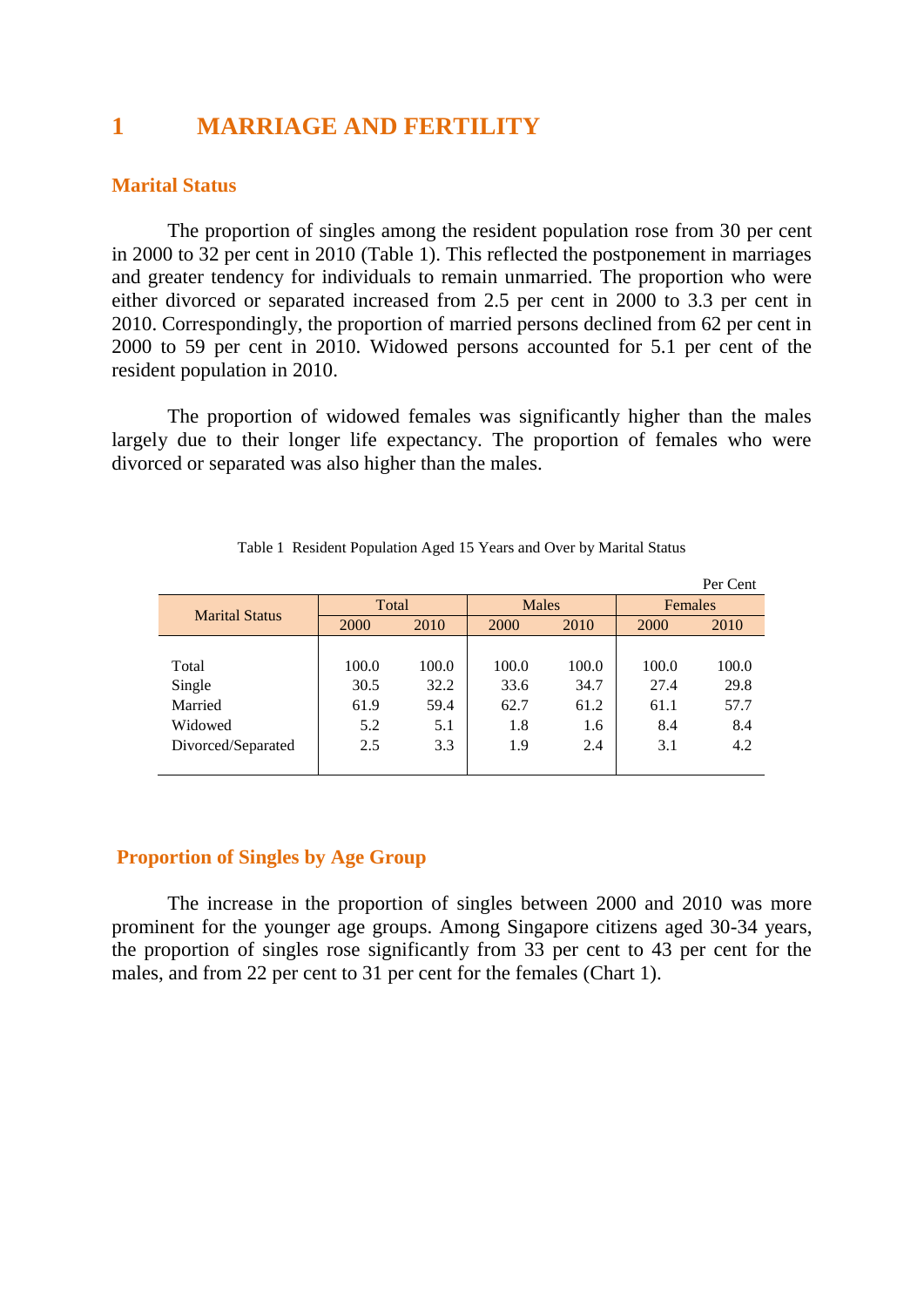# **1 MARRIAGE AND FERTILITY**

# **Marital Status**

The proportion of singles among the resident population rose from 30 per cent in 2000 to 32 per cent in 2010 (Table 1). This reflected the postponement in marriages and greater tendency for individuals to remain unmarried. The proportion who were either divorced or separated increased from 2.5 per cent in 2000 to 3.3 per cent in 2010. Correspondingly, the proportion of married persons declined from 62 per cent in 2000 to 59 per cent in 2010. Widowed persons accounted for 5.1 per cent of the resident population in 2010.

The proportion of widowed females was significantly higher than the males largely due to their longer life expectancy. The proportion of females who were divorced or separated was also higher than the males.

|                       |       |       |              |       |         | Per Cent |  |
|-----------------------|-------|-------|--------------|-------|---------|----------|--|
| <b>Marital Status</b> | Total |       | <b>Males</b> |       | Females |          |  |
|                       | 2000  | 2010  | 2000         | 2010  | 2000    | 2010     |  |
|                       |       |       |              |       |         |          |  |
| Total                 | 100.0 | 100.0 | 100.0        | 100.0 | 100.0   | 100.0    |  |
| Single                | 30.5  | 32.2  | 33.6         | 34.7  | 27.4    | 29.8     |  |
| Married               | 61.9  | 59.4  | 62.7         | 61.2  | 61.1    | 57.7     |  |
| Widowed               | 5.2   | 5.1   | 1.8          | 1.6   | 8.4     | 8.4      |  |
| Divorced/Separated    | 2.5   | 3.3   | 1.9          | 2.4   | 3.1     | 4.2      |  |
|                       |       |       |              |       |         |          |  |

Table 1 Resident Population Aged 15 Years and Over by Marital Status

# **Proportion of Singles by Age Group**

The increase in the proportion of singles between 2000 and 2010 was more prominent for the younger age groups. Among Singapore citizens aged 30-34 years, the proportion of singles rose significantly from 33 per cent to 43 per cent for the males, and from 22 per cent to 31 per cent for the females (Chart 1).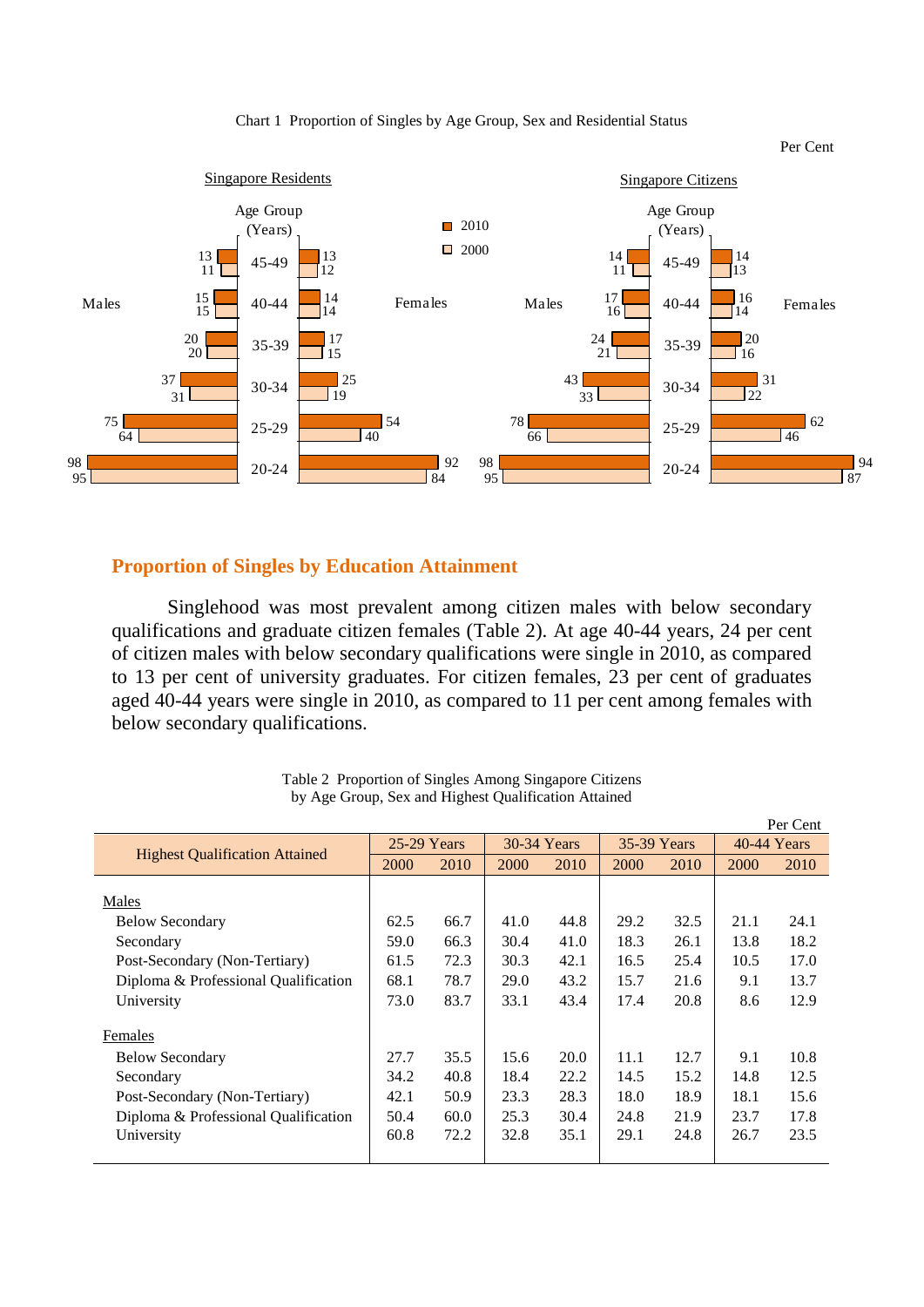



#### **Proportion of Singles by Education Attainment**

Singlehood was most prevalent among citizen males with below secondary qualifications and graduate citizen females (Table 2). At age 40-44 years, 24 per cent of citizen males with below secondary qualifications were single in 2010, as compared to 13 per cent of university graduates. For citizen females, 23 per cent of graduates aged 40-44 years were single in 2010, as compared to 11 per cent among females with below secondary qualifications.

|                                       |             |      |             |      |             |      |             | Per Cent |
|---------------------------------------|-------------|------|-------------|------|-------------|------|-------------|----------|
|                                       | 25-29 Years |      | 30-34 Years |      | 35-39 Years |      | 40-44 Years |          |
| <b>Highest Qualification Attained</b> | 2000        | 2010 | 2000        | 2010 | 2000        | 2010 | 2000        | 2010     |
|                                       |             |      |             |      |             |      |             |          |
| Males                                 |             |      |             |      |             |      |             |          |
| <b>Below Secondary</b>                | 62.5        | 66.7 | 41.0        | 44.8 | 29.2        | 32.5 | 21.1        | 24.1     |
| Secondary                             | 59.0        | 66.3 | 30.4        | 41.0 | 18.3        | 26.1 | 13.8        | 18.2     |
| Post-Secondary (Non-Tertiary)         | 61.5        | 72.3 | 30.3        | 42.1 | 16.5        | 25.4 | 10.5        | 17.0     |
| Diploma & Professional Qualification  | 68.1        | 78.7 | 29.0        | 43.2 | 15.7        | 21.6 | 9.1         | 13.7     |
| University                            | 73.0        | 83.7 | 33.1        | 43.4 | 17.4        | 20.8 | 8.6         | 12.9     |
| Females                               |             |      |             |      |             |      |             |          |
| <b>Below Secondary</b>                | 27.7        | 35.5 | 15.6        | 20.0 | 11.1        | 12.7 | 9.1         | 10.8     |
| Secondary                             | 34.2        | 40.8 | 18.4        | 22.2 | 14.5        | 15.2 | 14.8        | 12.5     |
| Post-Secondary (Non-Tertiary)         | 42.1        | 50.9 | 23.3        | 28.3 | 18.0        | 18.9 | 18.1        | 15.6     |
| Diploma & Professional Qualification  | 50.4        | 60.0 | 25.3        | 30.4 | 24.8        | 21.9 | 23.7        | 17.8     |
| University                            | 60.8        | 72.2 | 32.8        | 35.1 | 29.1        | 24.8 | 26.7        | 23.5     |
|                                       |             |      |             |      |             |      |             |          |

Table 2 Proportion of Singles Among Singapore Citizens by Age Group, Sex and Highest Qualification Attained

Per Cent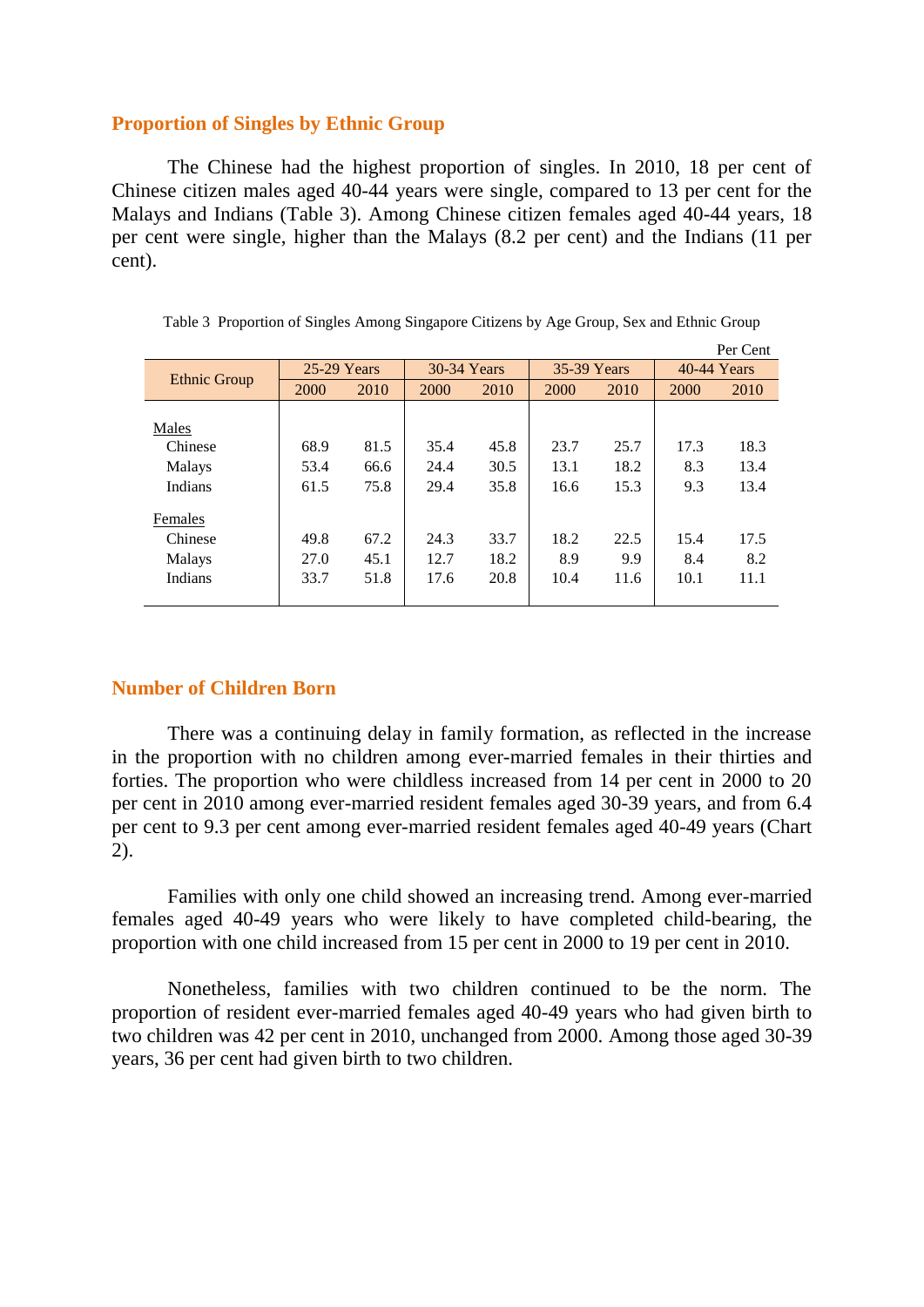# **Proportion of Singles by Ethnic Group**

The Chinese had the highest proportion of singles. In 2010, 18 per cent of Chinese citizen males aged 40-44 years were single, compared to 13 per cent for the Malays and Indians (Table 3). Among Chinese citizen females aged 40-44 years, 18 per cent were single, higher than the Malays (8.2 per cent) and the Indians (11 per cent).

| Per Cent            |               |      |             |      |             |      |               |      |  |
|---------------------|---------------|------|-------------|------|-------------|------|---------------|------|--|
|                     | $25-29$ Years |      | 30-34 Years |      | 35-39 Years |      | $40-44$ Years |      |  |
| <b>Ethnic Group</b> | 2000          | 2010 | 2000        | 2010 | 2000        | 2010 | 2000          | 2010 |  |
|                     |               |      |             |      |             |      |               |      |  |
| Males               |               |      |             |      |             |      |               |      |  |
| Chinese             | 68.9          | 81.5 | 35.4        | 45.8 | 23.7        | 25.7 | 17.3          | 18.3 |  |
| Malays              | 53.4          | 66.6 | 24.4        | 30.5 | 13.1        | 18.2 | 8.3           | 13.4 |  |
| Indians             | 61.5          | 75.8 | 29.4        | 35.8 | 16.6        | 15.3 | 9.3           | 13.4 |  |
| Females             |               |      |             |      |             |      |               |      |  |
| Chinese             | 49.8          | 67.2 | 24.3        | 33.7 | 18.2        | 22.5 | 15.4          | 17.5 |  |
| Malays              | 27.0          | 45.1 | 12.7        | 18.2 | 8.9         | 9.9  | 8.4           | 8.2  |  |
| Indians             | 33.7          | 51.8 | 17.6        | 20.8 | 10.4        | 11.6 | 10.1          | 11.1 |  |
|                     |               |      |             |      |             |      |               |      |  |

Table 3 Proportion of Singles Among Singapore Citizens by Age Group, Sex and Ethnic Group

#### **Number of Children Born**

There was a continuing delay in family formation, as reflected in the increase in the proportion with no children among ever-married females in their thirties and forties. The proportion who were childless increased from 14 per cent in 2000 to 20 per cent in 2010 among ever-married resident females aged 30-39 years, and from 6.4 per cent to 9.3 per cent among ever-married resident females aged 40-49 years (Chart 2).

Families with only one child showed an increasing trend. Among ever-married females aged 40-49 years who were likely to have completed child-bearing, the proportion with one child increased from 15 per cent in 2000 to 19 per cent in 2010.

Nonetheless, families with two children continued to be the norm. The proportion of resident ever-married females aged 40-49 years who had given birth to two children was 42 per cent in 2010, unchanged from 2000. Among those aged 30-39 years, 36 per cent had given birth to two children.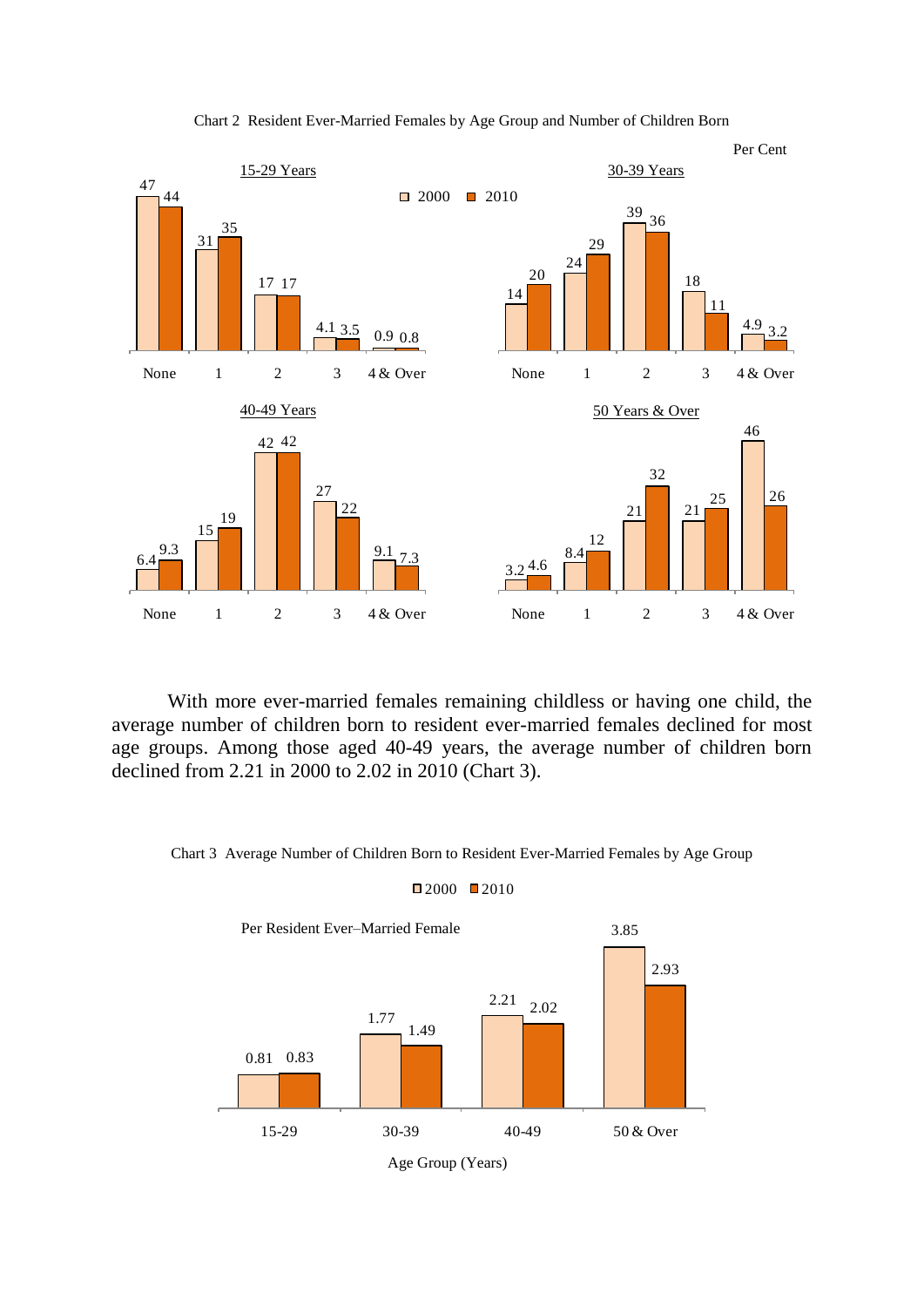

Chart 2 Resident Ever-Married Females by Age Group and Number of Children Born

With more ever-married females remaining childless or having one child, the average number of children born to resident ever-married females declined for most age groups. Among those aged 40-49 years, the average number of children born declined from 2.21 in 2000 to 2.02 in 2010 (Chart 3).



Chart 3 Average Number of Children Born to Resident Ever-Married Females by Age Group

 $2000$  2010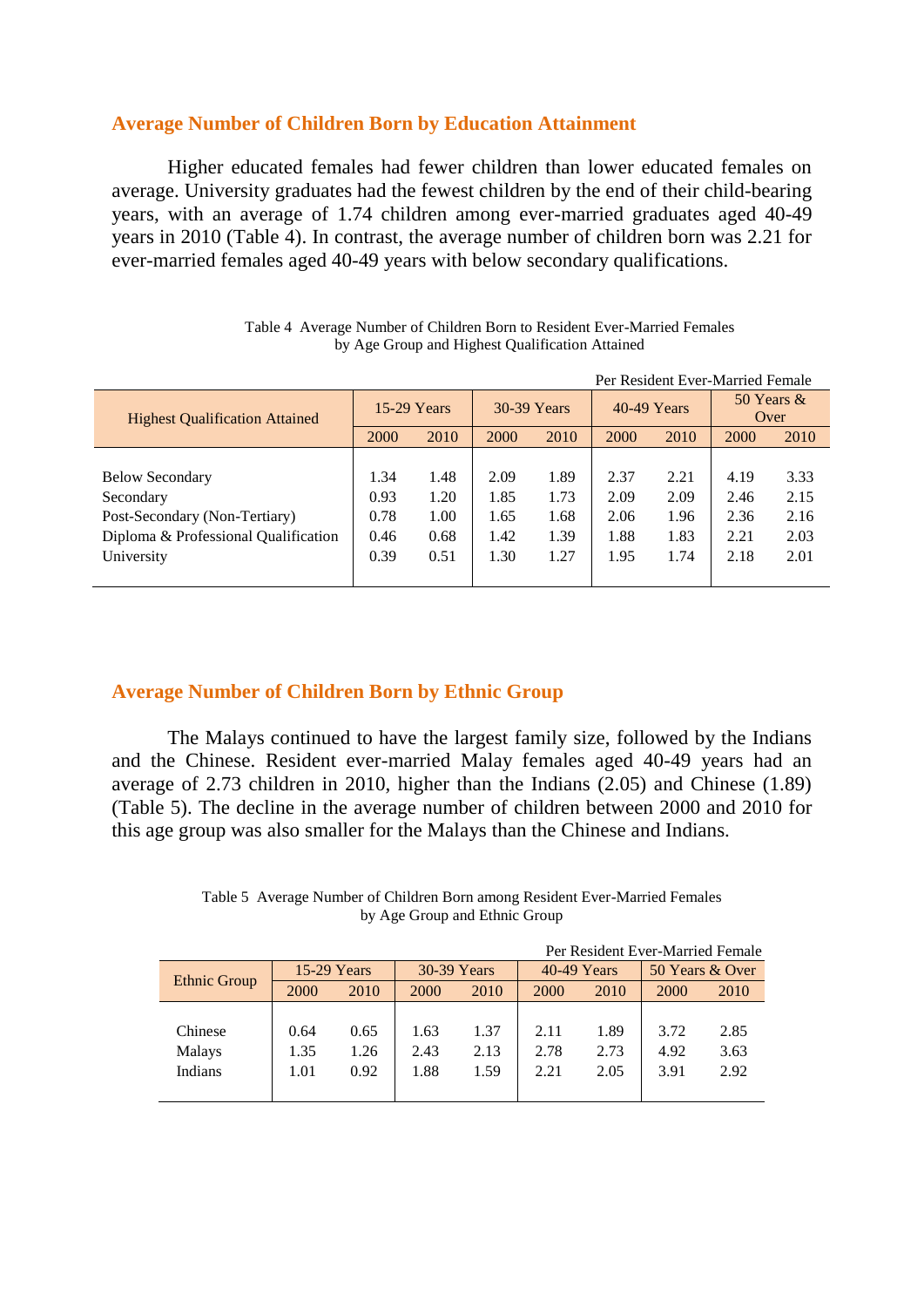# **Average Number of Children Born by Education Attainment**

Higher educated females had fewer children than lower educated females on average. University graduates had the fewest children by the end of their child-bearing years, with an average of 1.74 children among ever-married graduates aged 40-49 years in 2010 (Table 4). In contrast, the average number of children born was 2.21 for ever-married females aged 40-49 years with below secondary qualifications.

|                                       |               |      |             |      |             |      | Per Resident Ever-Married Female |      |
|---------------------------------------|---------------|------|-------------|------|-------------|------|----------------------------------|------|
| <b>Highest Qualification Attained</b> | $15-29$ Years |      | 30-39 Years |      | 40-49 Years |      | 50 Years $\&$<br>Over            |      |
|                                       | 2000          | 2010 | 2000        | 2010 | 2000        | 2010 | 2000                             | 2010 |
|                                       |               |      |             |      |             |      |                                  |      |
| <b>Below Secondary</b>                | 1.34          | 1.48 | 2.09        | 1.89 | 2.37        | 2.21 | 4.19                             | 3.33 |
| Secondary                             | 0.93          | 1.20 | 1.85        | 1.73 | 2.09        | 2.09 | 2.46                             | 2.15 |
| Post-Secondary (Non-Tertiary)         | 0.78          | 1.00 | 1.65        | 1.68 | 2.06        | 1.96 | 2.36                             | 2.16 |
| Diploma & Professional Qualification  | 0.46          | 0.68 | 1.42        | 1.39 | 1.88        | 1.83 | 2.21                             | 2.03 |
| University                            | 0.39          | 0.51 | 1.30        | 1.27 | 1.95        | 1.74 | 2.18                             | 2.01 |
|                                       |               |      |             |      |             |      |                                  |      |

Table 4 Average Number of Children Born to Resident Ever-Married Females by Age Group and Highest Qualification Attained

# **Average Number of Children Born by Ethnic Group**

The Malays continued to have the largest family size, followed by the Indians and the Chinese. Resident ever-married Malay females aged 40-49 years had an average of 2.73 children in 2010, higher than the Indians (2.05) and Chinese (1.89) (Table 5). The decline in the average number of children between 2000 and 2010 for this age group was also smaller for the Malays than the Chinese and Indians.

#### Table 5 Average Number of Children Born among Resident Ever-Married Females by Age Group and Ethnic Group

| Per Resident Ever-Married Female |      |               |             |      |      |               |      |                 |  |
|----------------------------------|------|---------------|-------------|------|------|---------------|------|-----------------|--|
|                                  |      | $15-29$ Years | 30-39 Years |      |      | $40-49$ Years |      | 50 Years & Over |  |
| <b>Ethnic Group</b>              | 2000 | 2010          | 2000        | 2010 | 2000 | 2010          | 2000 | 2010            |  |
|                                  |      |               |             |      |      |               |      |                 |  |
| Chinese                          | 0.64 | 0.65          | 1.63        | 1.37 | 2.11 | 1.89          | 3.72 | 2.85            |  |
| Malays                           | 1.35 | 1.26          | 2.43        | 2.13 | 2.78 | 2.73          | 4.92 | 3.63            |  |
| <b>Indians</b>                   | 1.01 | 0.92          | 1.88        | 1.59 | 2.21 | 2.05          | 3.91 | 2.92            |  |
|                                  |      |               |             |      |      |               |      |                 |  |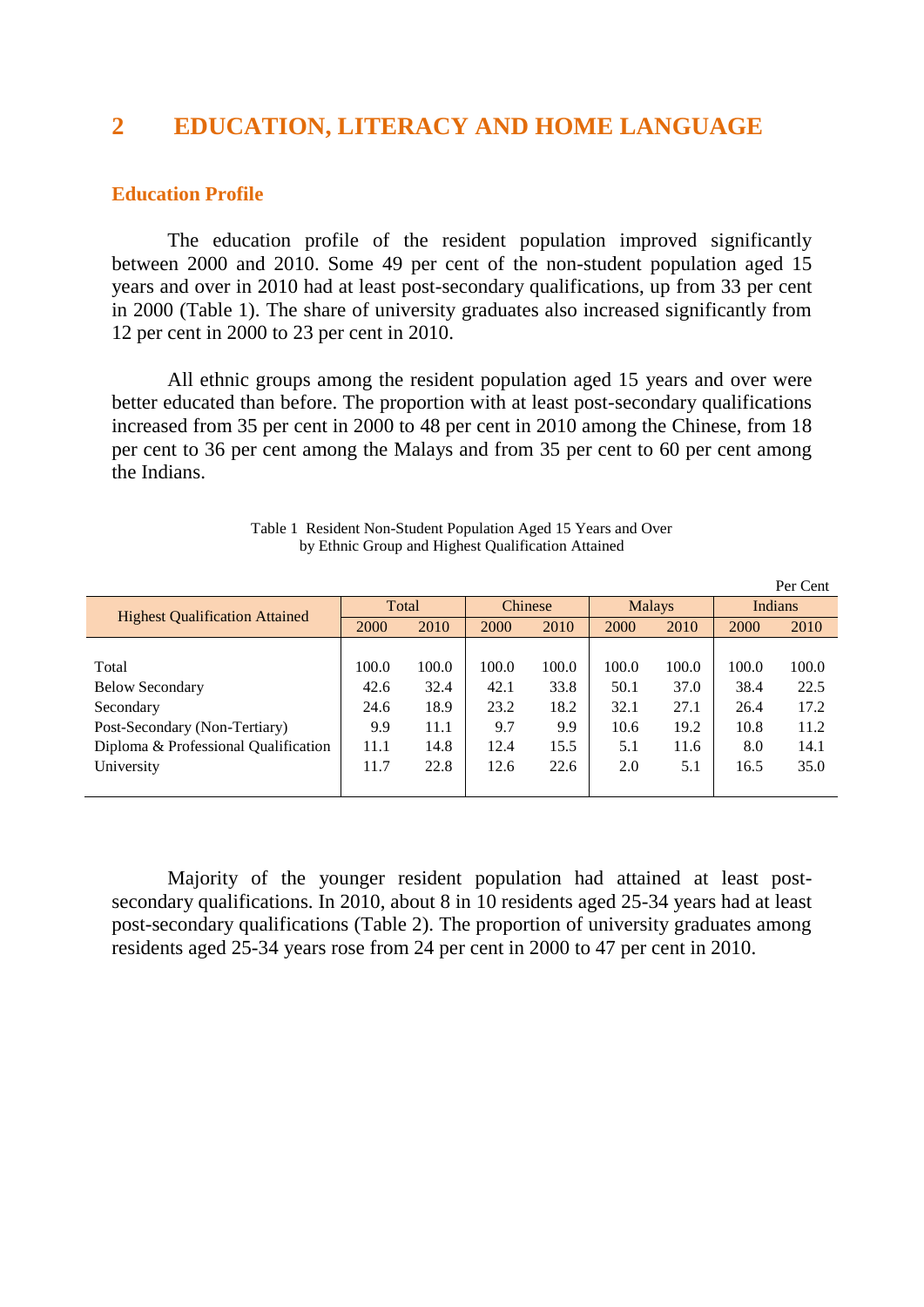# **2 EDUCATION, LITERACY AND HOME LANGUAGE**

#### **Education Profile**

The education profile of the resident population improved significantly between 2000 and 2010. Some 49 per cent of the non-student population aged 15 years and over in 2010 had at least post-secondary qualifications, up from 33 per cent in 2000 (Table 1). The share of university graduates also increased significantly from 12 per cent in 2000 to 23 per cent in 2010.

All ethnic groups among the resident population aged 15 years and over were better educated than before. The proportion with at least post-secondary qualifications increased from 35 per cent in 2000 to 48 per cent in 2010 among the Chinese, from 18 per cent to 36 per cent among the Malays and from 35 per cent to 60 per cent among the Indians.

|                                       |       |       |         |       |               |       |                | Per Cent |
|---------------------------------------|-------|-------|---------|-------|---------------|-------|----------------|----------|
|                                       | Total |       | Chinese |       | <b>Malays</b> |       | <b>Indians</b> |          |
| <b>Highest Qualification Attained</b> | 2000  | 2010  | 2000    | 2010  | 2000          | 2010  | <b>2000</b>    | 2010     |
|                                       |       |       |         |       |               |       |                |          |
| Total                                 | 100.0 | 100.0 | 100.0   | 100.0 | 100.0         | 100.0 | 100.0          | 100.0    |
| <b>Below Secondary</b>                | 42.6  | 32.4  | 42.1    | 33.8  | 50.1          | 37.0  | 38.4           | 22.5     |
| Secondary                             | 24.6  | 18.9  | 23.2    | 18.2  | 32.1          | 27.1  | 26.4           | 17.2     |
| Post-Secondary (Non-Tertiary)         | 9.9   | 11.1  | 9.7     | 9.9   | 10.6          | 19.2  | 10.8           | 11.2     |
| Diploma & Professional Qualification  | 11.1  | 14.8  | 12.4    | 15.5  | 5.1           | 11.6  | 8.0            | 14.1     |
| University                            | 11.7  | 22.8  | 12.6    | 22.6  | 2.0           | 5.1   | 16.5           | 35.0     |
|                                       |       |       |         |       |               |       |                |          |

Table 1 Resident Non-Student Population Aged 15 Years and Over by Ethnic Group and Highest Qualification Attained

Majority of the younger resident population had attained at least postsecondary qualifications. In 2010, about 8 in 10 residents aged 25-34 years had at least post-secondary qualifications (Table 2). The proportion of university graduates among residents aged 25-34 years rose from 24 per cent in 2000 to 47 per cent in 2010.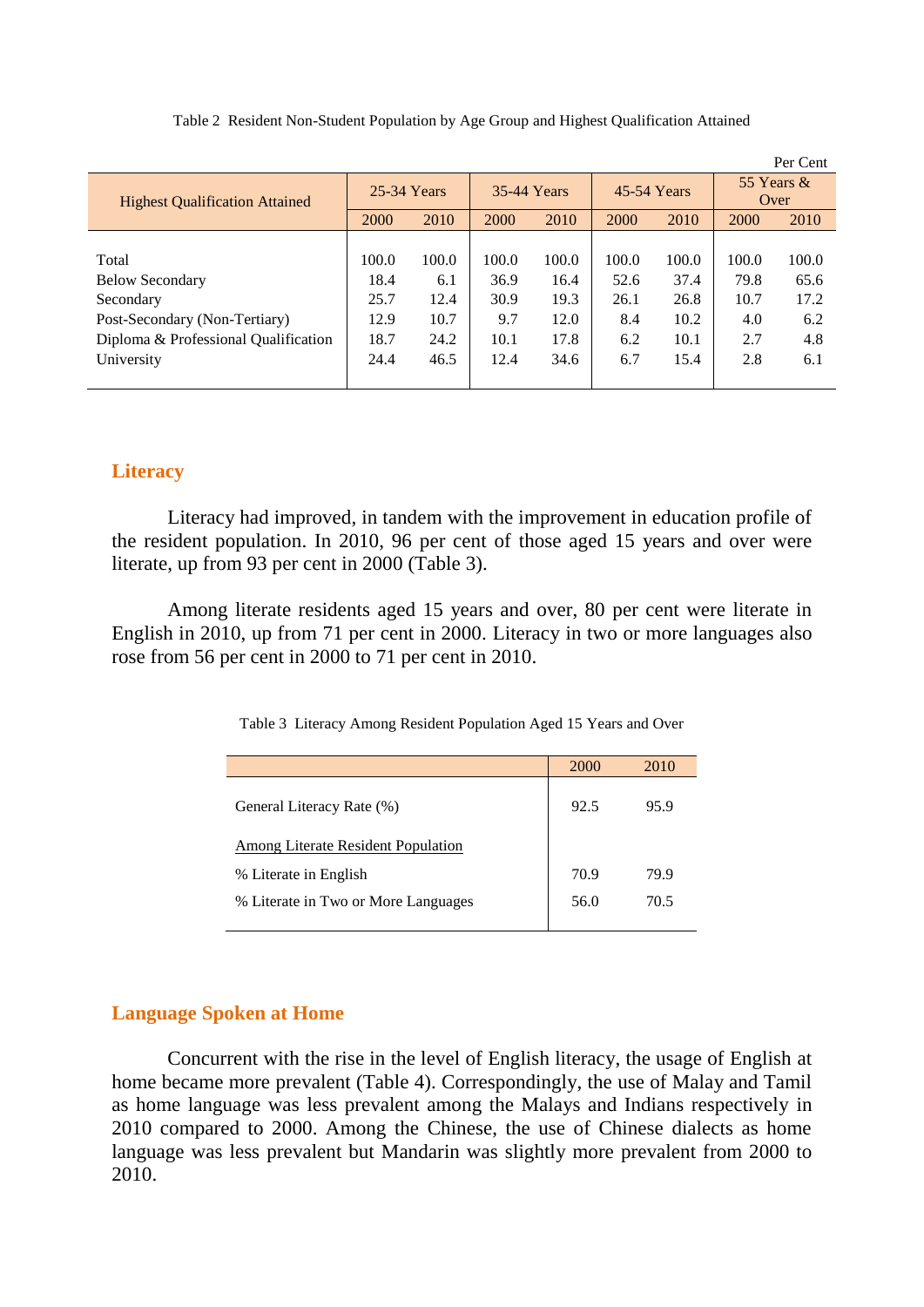|                                       |             |       |             |       |             |       |                       | Per Cent |
|---------------------------------------|-------------|-------|-------------|-------|-------------|-------|-----------------------|----------|
| <b>Highest Qualification Attained</b> | 25-34 Years |       | 35-44 Years |       | 45-54 Years |       | 55 Years $\&$<br>Over |          |
|                                       | 2000        | 2010  | 2000        | 2010  | 2000        | 2010  | 2000                  | 2010     |
|                                       |             |       |             |       |             |       |                       |          |
| Total                                 | 100.0       | 100.0 | 100.0       | 100.0 | 100.0       | 100.0 | 100.0                 | 100.0    |
| <b>Below Secondary</b>                | 18.4        | 6.1   | 36.9        | 16.4  | 52.6        | 37.4  | 79.8                  | 65.6     |
| Secondary                             | 25.7        | 12.4  | 30.9        | 19.3  | 26.1        | 26.8  | 10.7                  | 17.2     |
| Post-Secondary (Non-Tertiary)         | 12.9        | 10.7  | 9.7         | 12.0  | 8.4         | 10.2  | 4.0                   | 6.2      |
| Diploma & Professional Qualification  | 18.7        | 24.2  | 10.1        | 17.8  | 6.2         | 10.1  | 2.7                   | 4.8      |
| University                            | 24.4        | 46.5  | 12.4        | 34.6  | 6.7         | 15.4  | 2.8                   | 6.1      |
|                                       |             |       |             |       |             |       |                       |          |

Table 2 Resident Non-Student Population by Age Group and Highest Qualification Attained

# **Literacy**

Literacy had improved, in tandem with the improvement in education profile of the resident population. In 2010, 96 per cent of those aged 15 years and over were literate, up from 93 per cent in 2000 (Table 3).

Among literate residents aged 15 years and over, 80 per cent were literate in English in 2010, up from 71 per cent in 2000. Literacy in two or more languages also rose from 56 per cent in 2000 to 71 per cent in 2010.

|  |  | Table 3 Literacy Among Resident Population Aged 15 Years and Over |  |  |
|--|--|-------------------------------------------------------------------|--|--|
|  |  |                                                                   |  |  |

|                                           | 2000 | 2010 |
|-------------------------------------------|------|------|
| General Literacy Rate (%)                 | 92.5 | 95.9 |
| <b>Among Literate Resident Population</b> |      |      |
| % Literate in English                     | 70.9 | 79.9 |
| % Literate in Two or More Languages       | 56.0 | 70.5 |
|                                           |      |      |

#### **Language Spoken at Home**

Concurrent with the rise in the level of English literacy, the usage of English at home became more prevalent (Table 4). Correspondingly, the use of Malay and Tamil as home language was less prevalent among the Malays and Indians respectively in 2010 compared to 2000. Among the Chinese, the use of Chinese dialects as home language was less prevalent but Mandarin was slightly more prevalent from 2000 to 2010.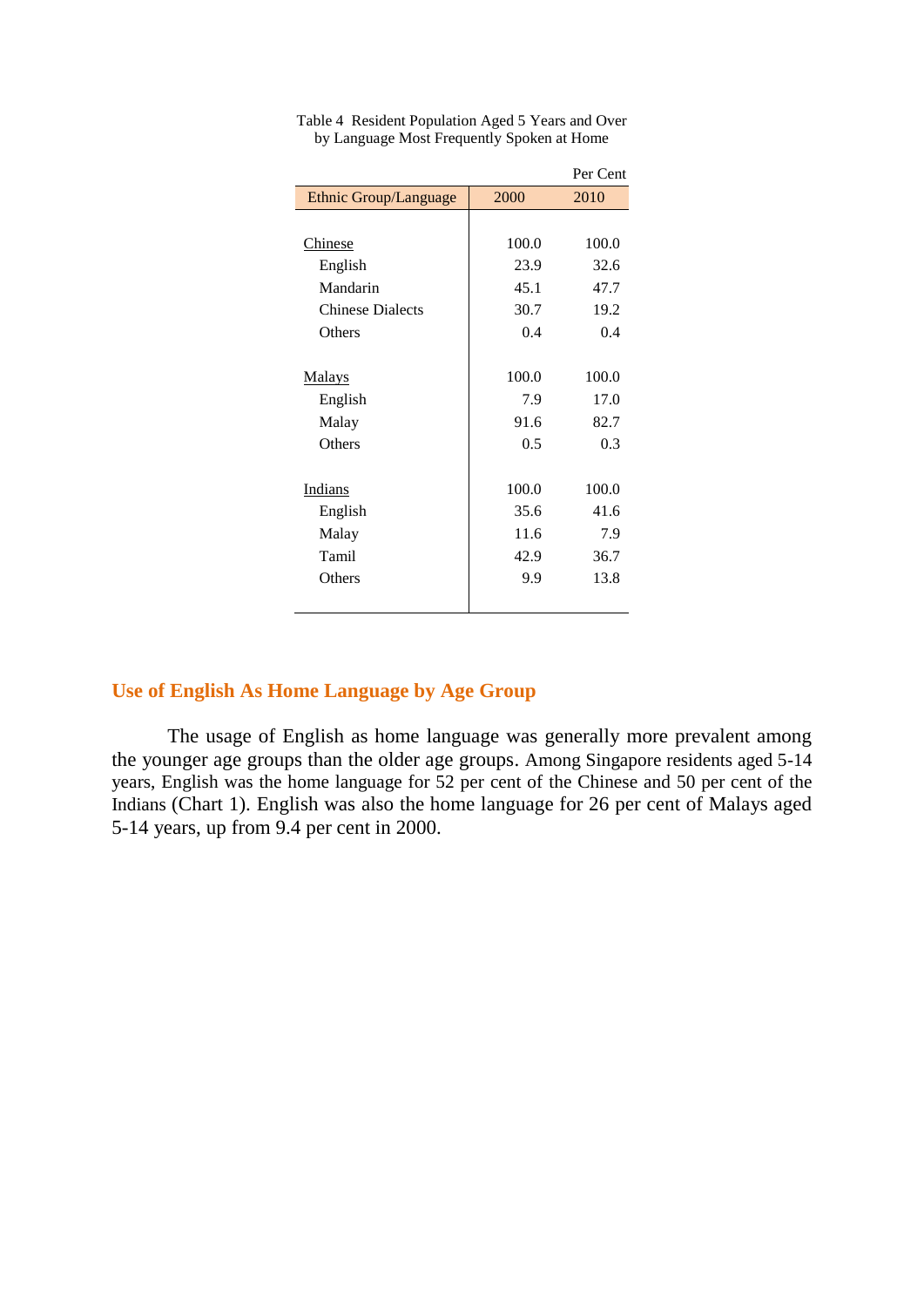|                         |       | Per Cent |
|-------------------------|-------|----------|
| Ethnic Group/Language   | 2000  | 2010     |
|                         |       |          |
| Chinese                 | 100.0 | 100.0    |
| English                 | 23.9  | 32.6     |
| Mandarin                | 45.1  | 47.7     |
| <b>Chinese Dialects</b> | 30.7  | 19.2     |
| Others                  | 0.4   | 0.4      |
|                         |       |          |
| <b>Malays</b>           | 100.0 | 100.0    |
| English                 | 7.9   | 17.0     |
| Malay                   | 91.6  | 82.7     |
| Others                  | 0.5   | 0.3      |
|                         |       |          |
| Indians                 | 100.0 | 100.0    |
| English                 | 35.6  | 41.6     |
| Malay                   | 11.6  | 7.9      |
| Tamil                   | 42.9  | 36.7     |
| Others                  | 9.9   | 13.8     |
|                         |       |          |

Table 4 Resident Population Aged 5 Years and Over by Language Most Frequently Spoken at Home

# **Use of English As Home Language by Age Group**

The usage of English as home language was generally more prevalent among the younger age groups than the older age groups. Among Singapore residents aged 5-14 years, English was the home language for 52 per cent of the Chinese and 50 per cent of the Indians (Chart 1). English was also the home language for 26 per cent of Malays aged 5-14 years, up from 9.4 per cent in 2000.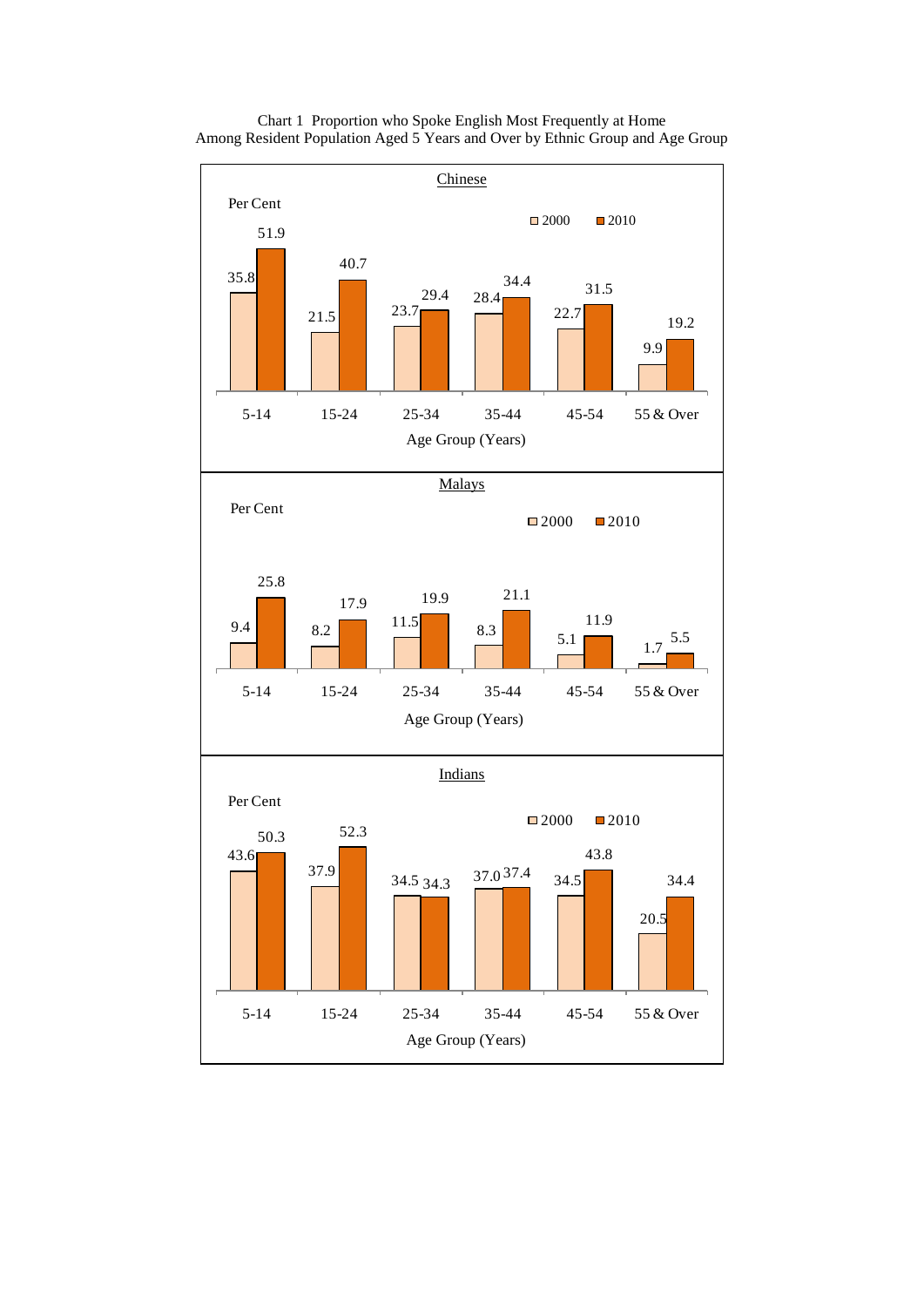

Chart 1 Proportion who Spoke English Most Frequently at Home Among Resident Population Aged 5 Years and Over by Ethnic Group and Age Group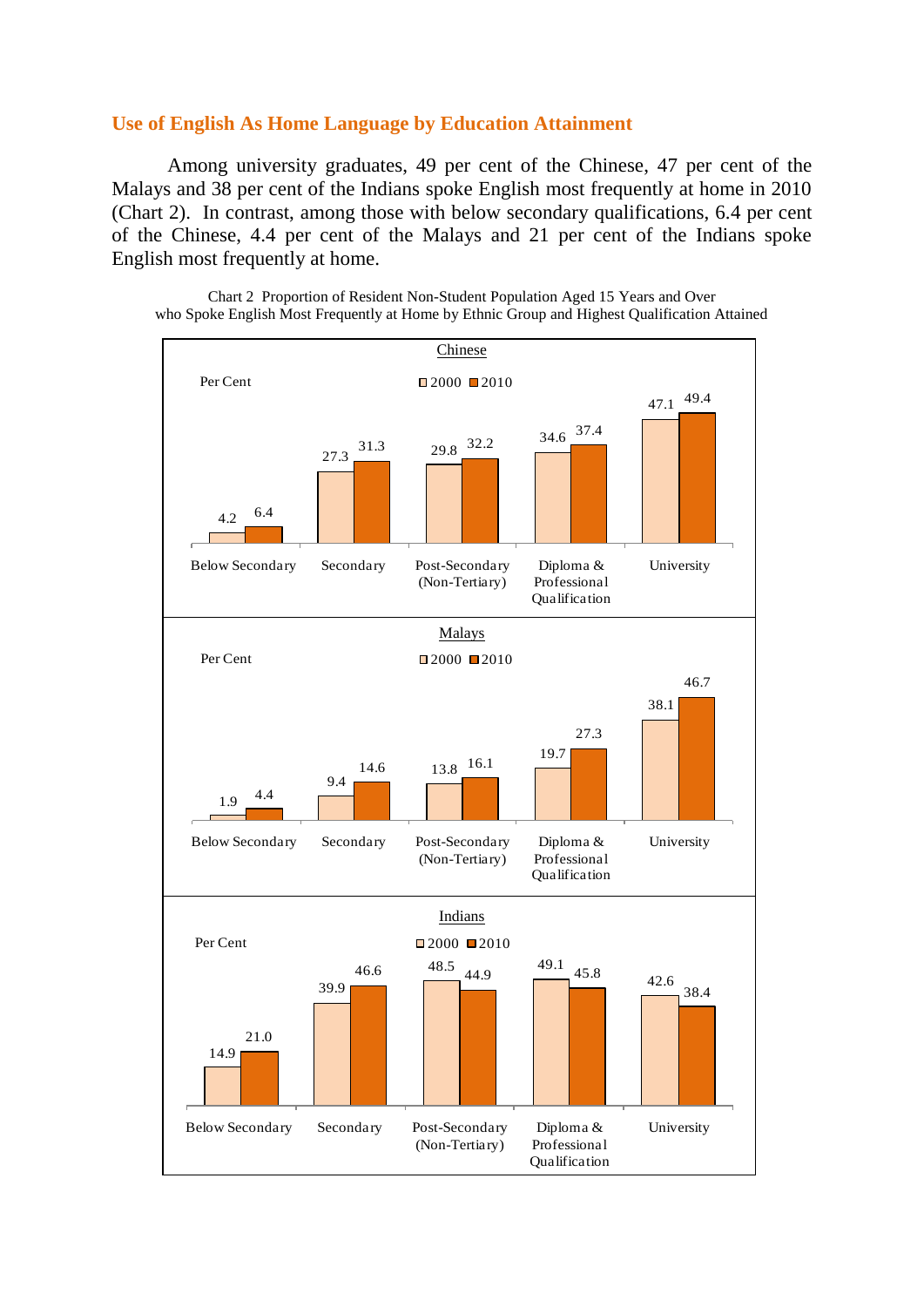#### **Use of English As Home Language by Education Attainment**

Among university graduates, 49 per cent of the Chinese, 47 per cent of the Malays and 38 per cent of the Indians spoke English most frequently at home in 2010 (Chart 2). In contrast, among those with below secondary qualifications, 6.4 per cent of the Chinese, 4.4 per cent of the Malays and 21 per cent of the Indians spoke English most frequently at home.



Chart 2 Proportion of Resident Non-Student Population Aged 15 Years and Over who Spoke English Most Frequently at Home by Ethnic Group and Highest Qualification Attained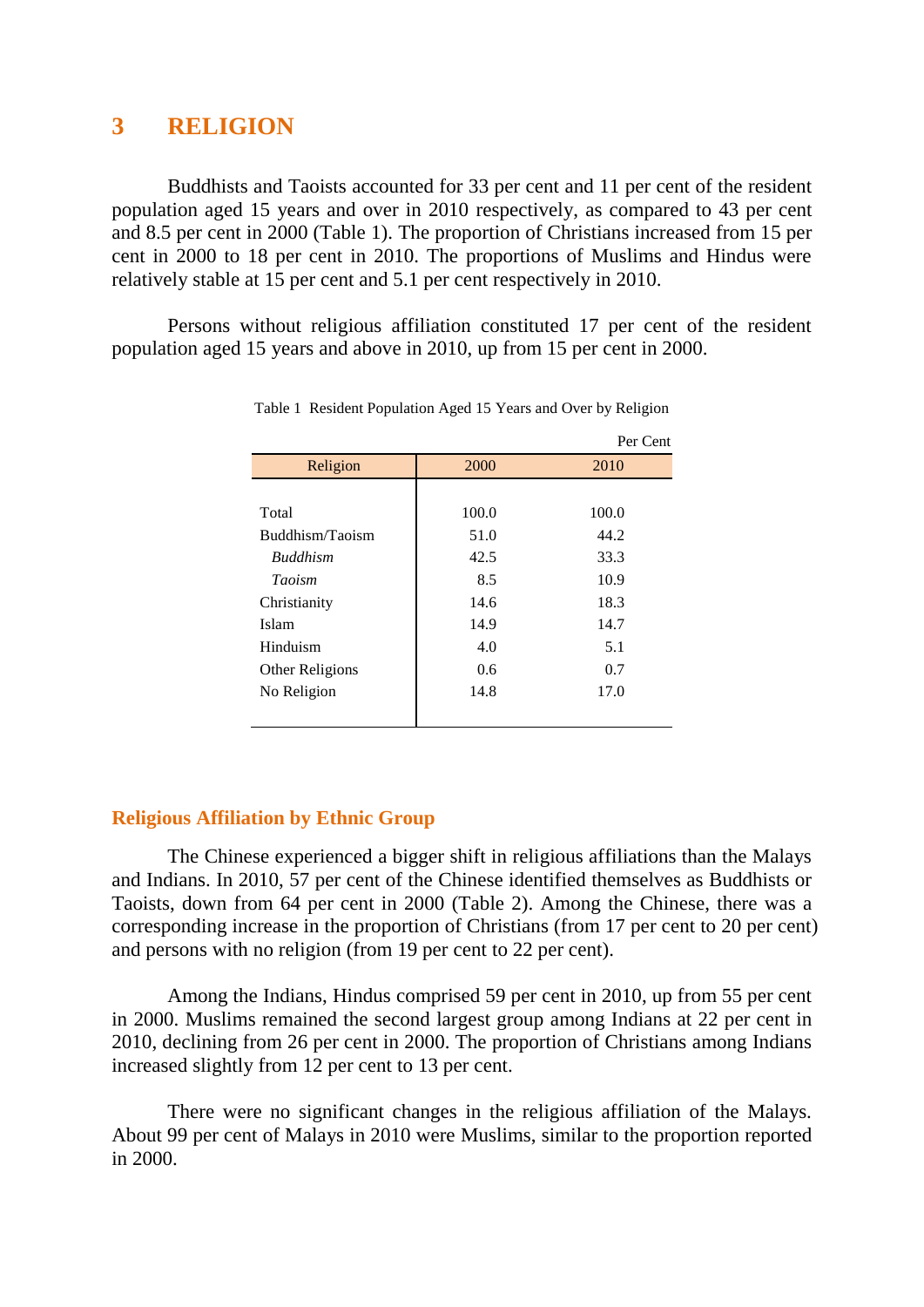# **3 RELIGION**

Buddhists and Taoists accounted for 33 per cent and 11 per cent of the resident population aged 15 years and over in 2010 respectively, as compared to 43 per cent and 8.5 per cent in 2000 (Table 1). The proportion of Christians increased from 15 per cent in 2000 to 18 per cent in 2010. The proportions of Muslims and Hindus were relatively stable at 15 per cent and 5.1 per cent respectively in 2010.

Persons without religious affiliation constituted 17 per cent of the resident population aged 15 years and above in 2010, up from 15 per cent in 2000.

|                 |       | Per Cent |
|-----------------|-------|----------|
| Religion        | 2000  | 2010     |
|                 |       |          |
| Total           | 100.0 | 100.0    |
| Buddhism/Taoism | 51.0  | 44.2     |
| <b>Buddhism</b> | 42.5  | 33.3     |
| <b>Taoism</b>   | 8.5   | 10.9     |
| Christianity    | 14.6  | 18.3     |
| Islam           | 14.9  | 14.7     |
| Hinduism        | 4.0   | 5.1      |
| Other Religions | 0.6   | 0.7      |
| No Religion     | 14.8  | 17.0     |
|                 |       |          |

Table 1 Resident Population Aged 15 Years and Over by Religion

#### **Religious Affiliation by Ethnic Group**

The Chinese experienced a bigger shift in religious affiliations than the Malays and Indians. In 2010, 57 per cent of the Chinese identified themselves as Buddhists or Taoists, down from 64 per cent in 2000 (Table 2). Among the Chinese, there was a corresponding increase in the proportion of Christians (from 17 per cent to 20 per cent) and persons with no religion (from 19 per cent to 22 per cent).

Among the Indians, Hindus comprised 59 per cent in 2010, up from 55 per cent in 2000. Muslims remained the second largest group among Indians at 22 per cent in 2010, declining from 26 per cent in 2000. The proportion of Christians among Indians increased slightly from 12 per cent to 13 per cent.

There were no significant changes in the religious affiliation of the Malays. About 99 per cent of Malays in 2010 were Muslims, similar to the proportion reported in 2000.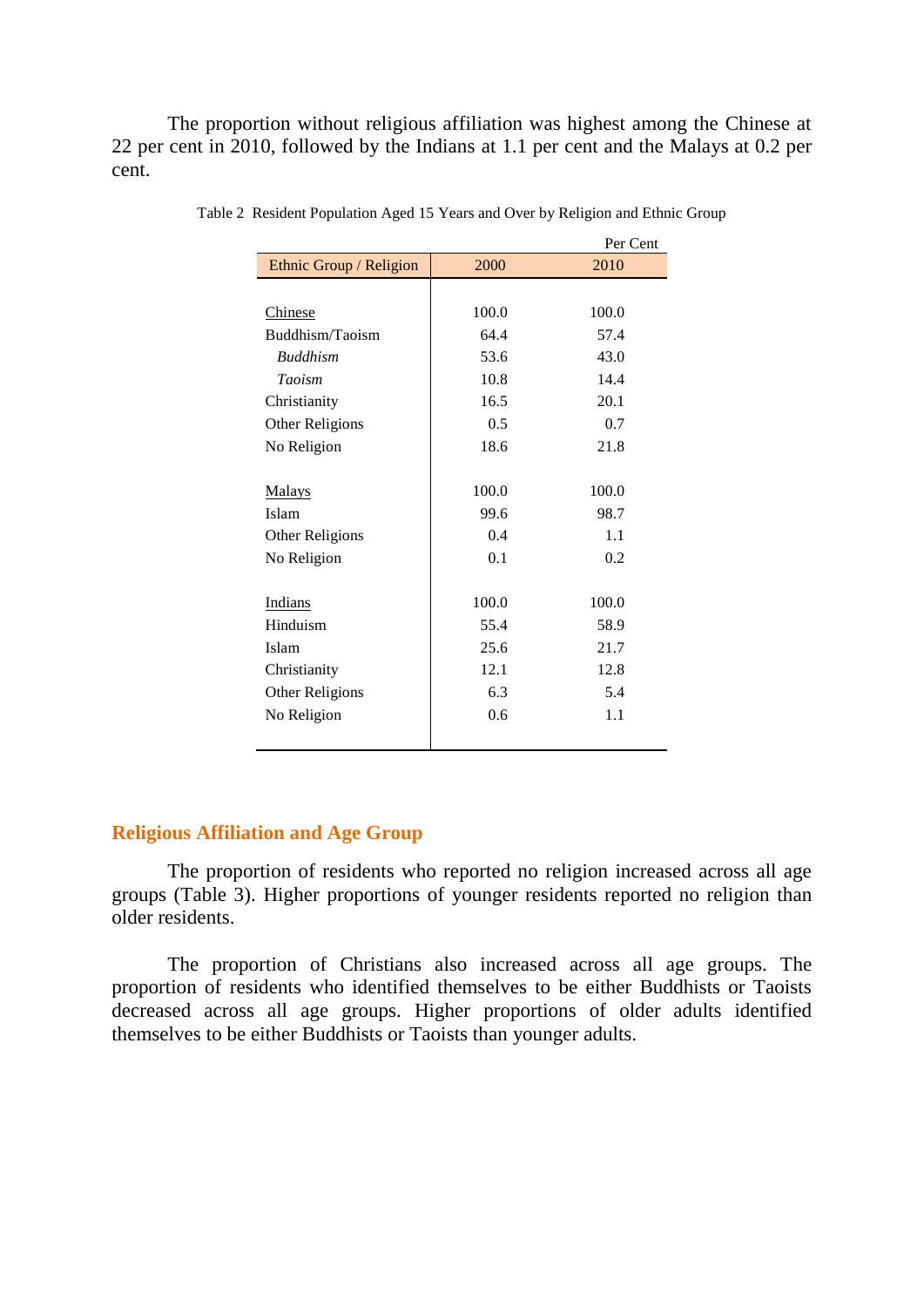The proportion without religious affiliation was highest among the Chinese at 22 per cent in 2010, followed by the Indians at 1.1 per cent and the Malays at 0.2 per cent.

|                         |       | Per Cent |
|-------------------------|-------|----------|
| Ethnic Group / Religion | 2000  | 2010     |
|                         |       |          |
| Chinese                 | 100.0 | 100.0    |
| Buddhism/Taoism         | 64.4  | 57.4     |
| <b>Buddhism</b>         | 53.6  | 43.0     |
| <b>Taoism</b>           | 10.8  | 14.4     |
| Christianity            | 16.5  | 20.1     |
| Other Religions         | 0.5   | 0.7      |
| No Religion             | 18.6  | 21.8     |
|                         |       |          |
| <b>Malays</b>           | 100.0 | 100.0    |
| Islam                   | 99.6  | 98.7     |
| Other Religions         | 0.4   | 1.1      |
| No Religion             | 0.1   | 0.2      |
|                         |       |          |
| <b>Indians</b>          | 100.0 | 100.0    |
| Hinduism                | 55.4  | 58.9     |
| Islam                   | 25.6  | 21.7     |
| Christianity            | 12.1  | 12.8     |
| Other Religions         | 6.3   | 5.4      |
| No Religion             | 0.6   | 1.1      |
|                         |       |          |

Table 2 Resident Population Aged 15 Years and Over by Religion and Ethnic Group

### **Religious Affiliation and Age Group**

The proportion of residents who reported no religion increased across all age groups (Table 3). Higher proportions of younger residents reported no religion than older residents.

The proportion of Christians also increased across all age groups. The proportion of residents who identified themselves to be either Buddhists or Taoists decreased across all age groups. Higher proportions of older adults identified themselves to be either Buddhists or Taoists than younger adults.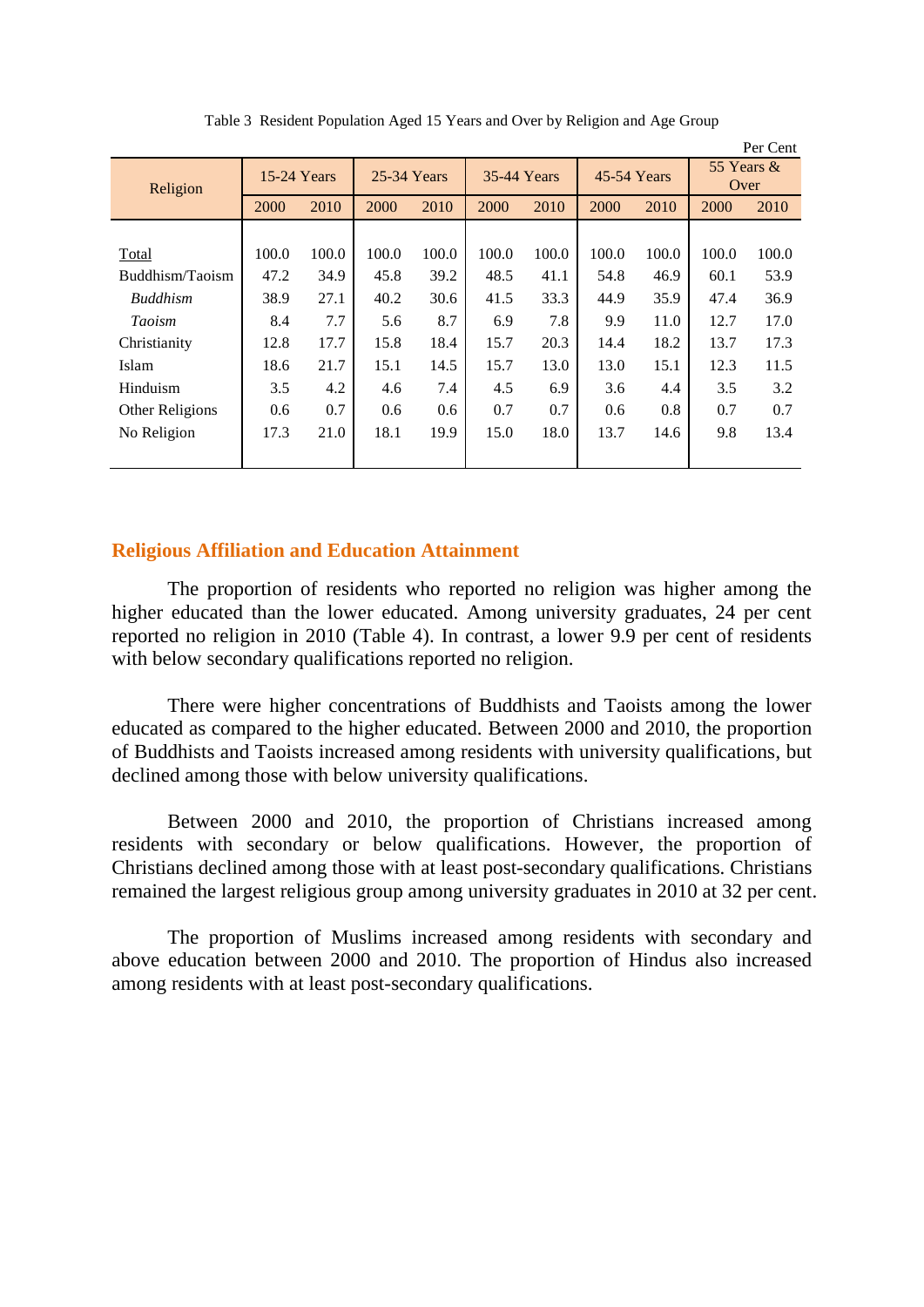|                 |             |       |             |       |                    |       |             |       |                    | Per Cent |
|-----------------|-------------|-------|-------------|-------|--------------------|-------|-------------|-------|--------------------|----------|
| Religion        | 15-24 Years |       | 25-34 Years |       | <b>35-44 Years</b> |       | 45-54 Years |       | 55 Years &<br>Over |          |
|                 | 2000        | 2010  | 2000        | 2010  | 2000               | 2010  | 2000        | 2010  | 2000               | 2010     |
|                 |             |       |             |       |                    |       |             |       |                    |          |
| Total           | 100.0       | 100.0 | 100.0       | 100.0 | 100.0              | 100.0 | 100.0       | 100.0 | 100.0              | 100.0    |
| Buddhism/Taoism | 47.2        | 34.9  | 45.8        | 39.2  | 48.5               | 41.1  | 54.8        | 46.9  | 60.1               | 53.9     |
| <b>Buddhism</b> | 38.9        | 27.1  | 40.2        | 30.6  | 41.5               | 33.3  | 44.9        | 35.9  | 47.4               | 36.9     |
| <b>Taoism</b>   | 8.4         | 7.7   | 5.6         | 8.7   | 6.9                | 7.8   | 9.9         | 11.0  | 12.7               | 17.0     |
| Christianity    | 12.8        | 17.7  | 15.8        | 18.4  | 15.7               | 20.3  | 14.4        | 18.2  | 13.7               | 17.3     |
| Islam           | 18.6        | 21.7  | 15.1        | 14.5  | 15.7               | 13.0  | 13.0        | 15.1  | 12.3               | 11.5     |
| Hinduism        | 3.5         | 4.2   | 4.6         | 7.4   | 4.5                | 6.9   | 3.6         | 4.4   | 3.5                | 3.2      |
| Other Religions | 0.6         | 0.7   | 0.6         | 0.6   | 0.7                | 0.7   | 0.6         | 0.8   | 0.7                | 0.7      |
| No Religion     | 17.3        | 21.0  | 18.1        | 19.9  | 15.0               | 18.0  | 13.7        | 14.6  | 9.8                | 13.4     |
|                 |             |       |             |       |                    |       |             |       |                    |          |

Table 3 Resident Population Aged 15 Years and Over by Religion and Age Group

# **Religious Affiliation and Education Attainment**

The proportion of residents who reported no religion was higher among the higher educated than the lower educated. Among university graduates, 24 per cent reported no religion in 2010 (Table 4). In contrast, a lower 9.9 per cent of residents with below secondary qualifications reported no religion.

There were higher concentrations of Buddhists and Taoists among the lower educated as compared to the higher educated. Between 2000 and 2010, the proportion of Buddhists and Taoists increased among residents with university qualifications, but declined among those with below university qualifications.

Between 2000 and 2010, the proportion of Christians increased among residents with secondary or below qualifications. However, the proportion of Christians declined among those with at least post-secondary qualifications. Christians remained the largest religious group among university graduates in 2010 at 32 per cent.

The proportion of Muslims increased among residents with secondary and above education between 2000 and 2010. The proportion of Hindus also increased among residents with at least post-secondary qualifications.